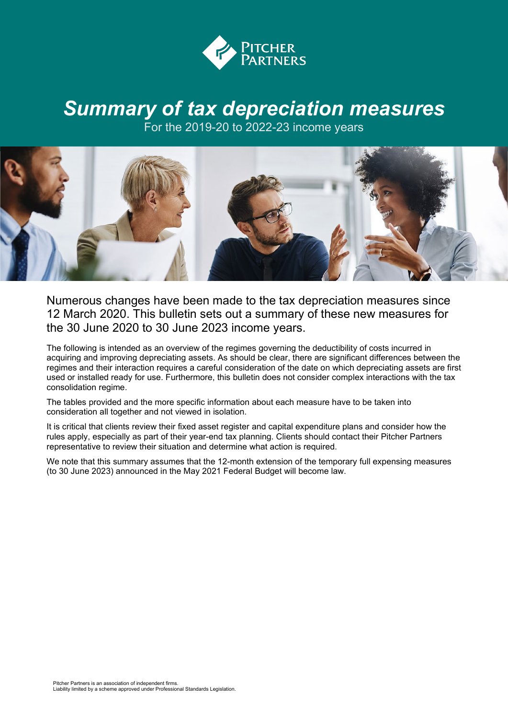

## *Summary of tax depreciation measures*

For the 2019-20 to 2022-23 income years



Numerous changes have been made to the tax depreciation measures since 12 March 2020. This bulletin sets out a summary of these new measures for the 30 June 2020 to 30 June 2023 income years.

The following is intended as an overview of the regimes governing the deductibility of costs incurred in acquiring and improving depreciating assets. As should be clear, there are significant differences between the regimes and their interaction requires a careful consideration of the date on which depreciating assets are first used or installed ready for use. Furthermore, this bulletin does not consider complex interactions with the tax consolidation regime.

The tables provided and the more specific information about each measure have to be taken into consideration all together and not viewed in isolation.

It is critical that clients review their fixed asset register and capital expenditure plans and consider how the rules apply, especially as part of their year-end tax planning. Clients should contact their Pitcher Partners representative to review their situation and determine what action is required.

We note that this summary assumes that the 12-month extension of the temporary full expensing measures (to 30 June 2023) announced in the May 2021 Federal Budget will become law.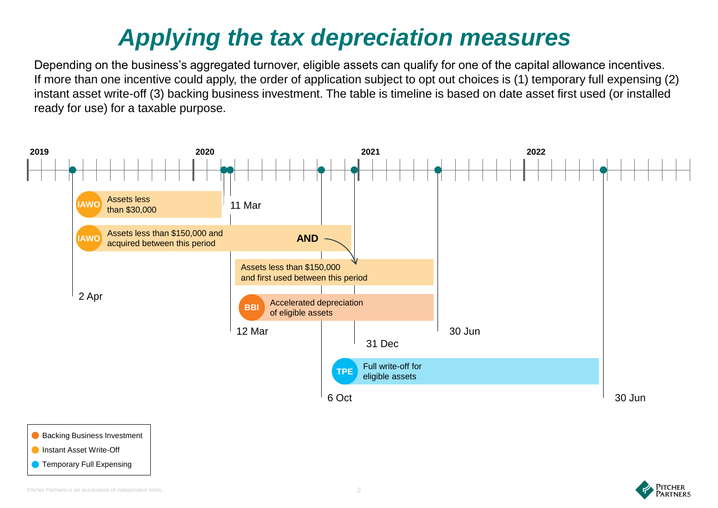## *Applying the tax depreciation measures*

Depending on the business's aggregated turnover, eligible assets can qualify for one of the capital allowance incentives. If more than one incentive could apply, the order of application subject to opt out choices is (1) temporary full expensing (2) instant asset write-off (3) backing business investment. The table is timeline is based on date asset first used (or installed ready for use) for a taxable purpose.





**PITCHER** ARTNERS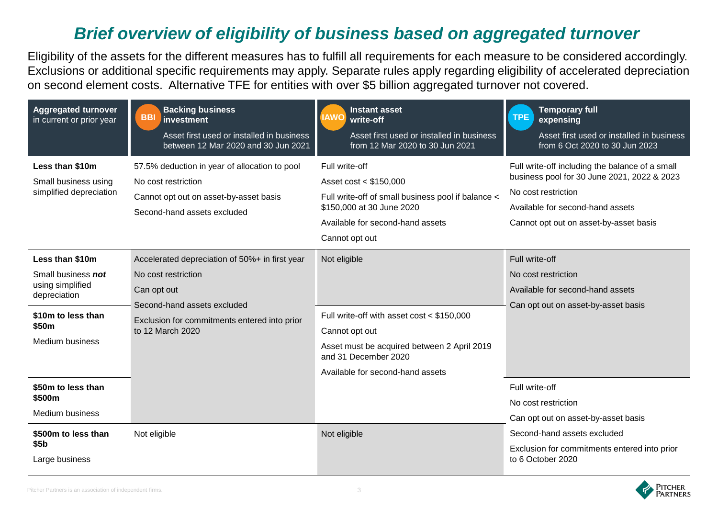## *Brief overview of eligibility of business based on aggregated turnover*

Eligibility of the assets for the different measures has to fulfill all requirements for each measure to be considered accordingly. Exclusions or additional specific requirements may apply. Separate rules apply regarding eligibility of accelerated depreciation on second element costs. Alternative TFE for entities with over \$5 billion aggregated turnover not covered.

| <b>Aggregated turnover</b><br>in current or prior year                                                                      | <b>Backing business</b><br><b>BBI</b><br>investment<br>Asset first used or installed in business<br>between 12 Mar 2020 and 30 Jun 2021                                                 | <b>Instant asset</b><br><b>AWO</b><br>write-off<br>Asset first used or installed in business<br>from 12 Mar 2020 to 30 Jun 2021                                                         | <b>Temporary full</b><br><b>TPE</b><br>expensing<br>Asset first used or installed in business<br>from 6 Oct 2020 to 30 Jun 2023                                                                     |
|-----------------------------------------------------------------------------------------------------------------------------|-----------------------------------------------------------------------------------------------------------------------------------------------------------------------------------------|-----------------------------------------------------------------------------------------------------------------------------------------------------------------------------------------|-----------------------------------------------------------------------------------------------------------------------------------------------------------------------------------------------------|
| Less than \$10m<br>Small business using<br>simplified depreciation                                                          | 57.5% deduction in year of allocation to pool<br>No cost restriction<br>Cannot opt out on asset-by-asset basis<br>Second-hand assets excluded                                           | Full write-off<br>Asset cost < \$150,000<br>Full write-off of small business pool if balance <<br>\$150,000 at 30 June 2020<br>Available for second-hand assets<br>Cannot opt out       | Full write-off including the balance of a small<br>business pool for 30 June 2021, 2022 & 2023<br>No cost restriction<br>Available for second-hand assets<br>Cannot opt out on asset-by-asset basis |
| Less than \$10m<br>Small business not<br>using simplified<br>depreciation<br>\$10m to less than<br>\$50m<br>Medium business | Accelerated depreciation of 50%+ in first year<br>No cost restriction<br>Can opt out<br>Second-hand assets excluded<br>Exclusion for commitments entered into prior<br>to 12 March 2020 | Not eligible<br>Full write-off with asset cost < \$150,000<br>Cannot opt out<br>Asset must be acquired between 2 April 2019<br>and 31 December 2020<br>Available for second-hand assets | Full write-off<br>No cost restriction<br>Available for second-hand assets<br>Can opt out on asset-by-asset basis                                                                                    |
| \$50m to less than<br>\$500m<br>Medium business<br>\$500m to less than<br>\$5 <sub>b</sub><br>Large business                | Not eligible                                                                                                                                                                            | Not eligible                                                                                                                                                                            | Full write-off<br>No cost restriction<br>Can opt out on asset-by-asset basis<br>Second-hand assets excluded<br>Exclusion for commitments entered into prior<br>to 6 October 2020                    |

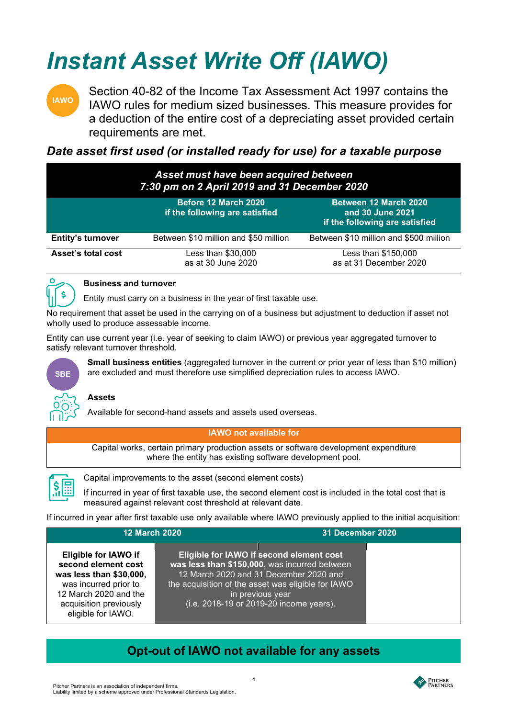## *Instant Asset Write Off (IAWO)*



Section 40-82 of the Income Tax Assessment Act 1997 contains the IAWO rules for medium sized businesses. This measure provides for a deduction of the entire cost of a depreciating asset provided certain requirements are met.

## *Date asset first used (or installed ready for use) for a taxable purpose*

| Asset must have been acquired between<br>7:30 pm on 2 April 2019 and 31 December 2020 |                                                        |                                                                             |
|---------------------------------------------------------------------------------------|--------------------------------------------------------|-----------------------------------------------------------------------------|
|                                                                                       | Before 12 March 2020<br>if the following are satisfied | Between 12 March 2020<br>and 30 June 2021<br>if the following are satisfied |
| <b>Entity's turnover</b>                                                              | Between \$10 million and \$50 million                  | Between \$10 million and \$500 million                                      |
| Asset's total cost                                                                    | Less than \$30,000<br>as at 30 June 2020               | Less than \$150,000<br>as at 31 December 2020                               |



### **Business and turnover**

Entity must carry on a business in the year of first taxable use.

No requirement that asset be used in the carrying on of a business but adjustment to deduction if asset not wholly used to produce assessable income.

Entity can use current year (i.e. year of seeking to claim IAWO) or previous year aggregated turnover to satisfy relevant turnover threshold.

are excluded and must therefore use simplified depreciation rules to access IAWO.



### **Assets**

Available for second-hand assets and assets used overseas.

**IAWO not available for**

**Small business entities** (aggregated turnover in the current or prior year of less than \$10 million)

Capital works, certain primary production assets or software development expenditure where the entity has existing software development pool.



Capital improvements to the asset (second element costs)

If incurred in year of first taxable use, the second element cost is included in the total cost that is measured against relevant cost threshold at relevant date.

If incurred in year after first taxable use only available where IAWO previously applied to the initial acquisition:

| <b>12 March 2020</b>                                                                                                                                                            | <b>31 December 2020</b>                                                                                                                                                                                                                                  |  |
|---------------------------------------------------------------------------------------------------------------------------------------------------------------------------------|----------------------------------------------------------------------------------------------------------------------------------------------------------------------------------------------------------------------------------------------------------|--|
| <b>Eligible for IAWO if</b><br>second element cost<br>was less than \$30,000,<br>was incurred prior to<br>12 March 2020 and the<br>acquisition previously<br>eligible for IAWO. | Eligible for IAWO if second element cost<br>was less than \$150,000, was incurred between<br>12 March 2020 and 31 December 2020 and<br>the acquisition of the asset was eligible for IAWO<br>in previous year<br>(i.e. 2018-19 or 2019-20 income years). |  |

## **Opt-out of IAWO not available for any assets**

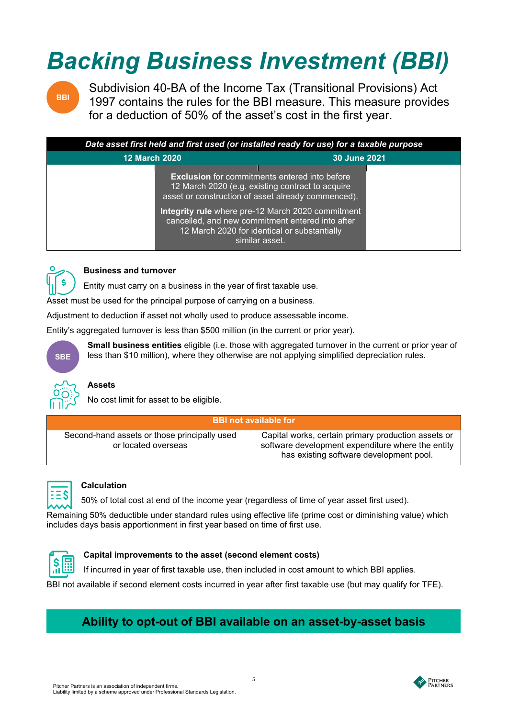# *Backing Business Investment (BBI)*



Subdivision 40-BA of the Income Tax (Transitional Provisions) Act 1997 contains the rules for the BBI measure. This measure provides for a deduction of 50% of the asset's cost in the first year.

| Date asset first held and first used (or installed ready for use) for a taxable purpose |                                                                                                                                                                         |
|-----------------------------------------------------------------------------------------|-------------------------------------------------------------------------------------------------------------------------------------------------------------------------|
| <b>12 March 2020</b>                                                                    | 30 June 2021                                                                                                                                                            |
|                                                                                         | <b>Exclusion</b> for commitments entered into before<br>12 March 2020 (e.g. existing contract to acquire<br>asset or construction of asset already commenced).          |
|                                                                                         | Integrity rule where pre-12 March 2020 commitment<br>cancelled, and new commitment entered into after<br>12 March 2020 for identical or substantially<br>similar asset. |



### **Business and turnover**

Entity must carry on a business in the year of first taxable use.

Asset must be used for the principal purpose of carrying on a business.

Adjustment to deduction if asset not wholly used to produce assessable income.

Entity's aggregated turnover is less than \$500 million (in the current or prior year).



**Small business entities** eligible (i.e. those with aggregated turnover in the current or prior year of less than \$10 million), where they otherwise are not applying simplified depreciation rules.



## **Assets**

No cost limit for asset to be eligible.

#### **BBI not available for**

Second-hand assets or those principally used or located overseas

Capital works, certain primary production assets or software development expenditure where the entity has existing software development pool.



### **Calculation**

50% of total cost at end of the income year (regardless of time of year asset first used).

Remaining 50% deductible under standard rules using effective life (prime cost or diminishing value) which includes days basis apportionment in first year based on time of first use.



### **Capital improvements to the asset (second element costs)**

If incurred in year of first taxable use, then included in cost amount to which BBI applies.

BBI not available if second element costs incurred in year after first taxable use (but may qualify for TFE).

## **Ability to opt-out of BBI available on an asset-by-asset basis**

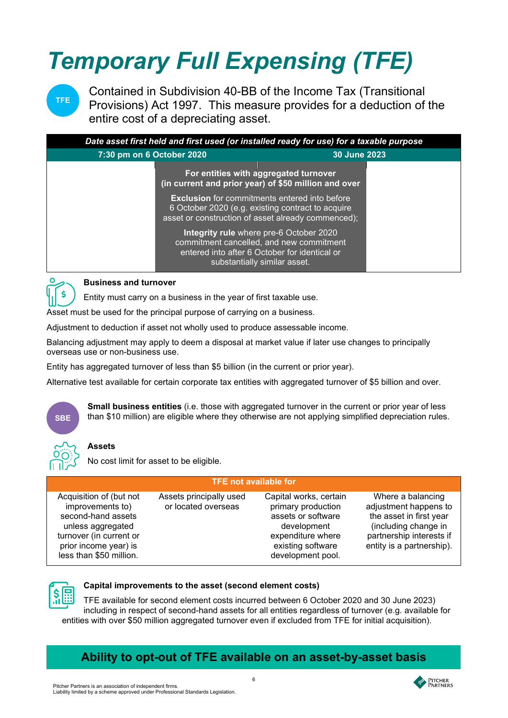# *Temporary Full Expensing (TFE)*



Contained in Subdivision 40-BB of the Income Tax (Transitional Provisions) Act 1997. This measure provides for a deduction of the entire cost of a depreciating asset.

| Date asset first held and first used (or installed ready for use) for a taxable purpose |                                                                                                                                                                      |
|-----------------------------------------------------------------------------------------|----------------------------------------------------------------------------------------------------------------------------------------------------------------------|
| 7:30 pm on 6 October 2020                                                               | 30 June 2023                                                                                                                                                         |
|                                                                                         | For entities with aggregated turnover<br>(in current and prior year) of \$50 million and over                                                                        |
|                                                                                         | <b>Exclusion</b> for commitments entered into before<br>6 October 2020 (e.g. existing contract to acquire<br>asset or construction of asset already commenced);      |
|                                                                                         | Integrity rule where pre-6 October 2020<br>commitment cancelled, and new commitment<br>entered into after 6 October for identical or<br>substantially similar asset. |



### **Business and turnover**

Entity must carry on a business in the year of first taxable use.

Asset must be used for the principal purpose of carrying on a business.

Adjustment to deduction if asset not wholly used to produce assessable income.

Balancing adjustment may apply to deem a disposal at market value if later use changes to principally overseas use or non-business use.

Entity has aggregated turnover of less than \$5 billion (in the current or prior year).

Alternative test available for certain corporate tax entities with aggregated turnover of \$5 billion and over.



**Small business entities** (i.e. those with aggregated turnover in the current or prior year of less than \$10 million) are eligible where they otherwise are not applying simplified depreciation rules.

### **Assets**

No cost limit for asset to be eligible.

| <b>TFE not available for</b>                                                                                                                                          |                                                |                                                                                                                                                  |                                                                                                                                                        |
|-----------------------------------------------------------------------------------------------------------------------------------------------------------------------|------------------------------------------------|--------------------------------------------------------------------------------------------------------------------------------------------------|--------------------------------------------------------------------------------------------------------------------------------------------------------|
| Acquisition of (but not<br>improvements to)<br>second-hand assets<br>unless aggregated<br>turnover (in current or<br>prior income year) is<br>less than \$50 million. | Assets principally used<br>or located overseas | Capital works, certain<br>primary production<br>assets or software<br>development<br>expenditure where<br>existing software<br>development pool. | Where a balancing<br>adjustment happens to<br>the asset in first year<br>(including change in<br>partnership interests if<br>entity is a partnership). |



### **Capital improvements to the asset (second element costs)**

TFE available for second element costs incurred between 6 October 2020 and 30 June 2023) including in respect of second-hand assets for all entities regardless of turnover (e.g. available for entities with over \$50 million aggregated turnover even if excluded from TFE for initial acquisition).

## **Ability to opt-out of TFE available on an asset-by-asset basis**

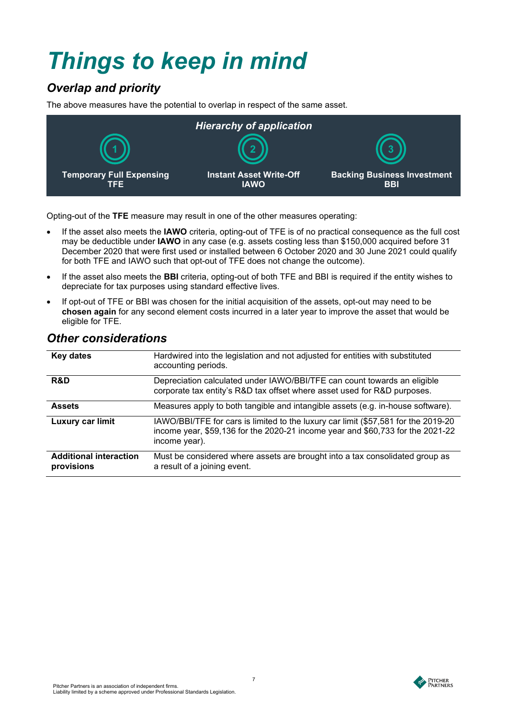## *Things to keep in mind*

## *Overlap and priority*

The above measures have the potential to overlap in respect of the same asset.



Opting-out of the **TFE** measure may result in one of the other measures operating:

- If the asset also meets the **IAWO** criteria, opting-out of TFE is of no practical consequence as the full cost may be deductible under **IAWO** in any case (e.g. assets costing less than \$150,000 acquired before 31 December 2020 that were first used or installed between 6 October 2020 and 30 June 2021 could qualify for both TFE and IAWO such that opt-out of TFE does not change the outcome).
- If the asset also meets the **BBI** criteria, opting-out of both TFE and BBI is required if the entity wishes to depreciate for tax purposes using standard effective lives.
- If opt-out of TFE or BBI was chosen for the initial acquisition of the assets, opt-out may need to be **chosen again** for any second element costs incurred in a later year to improve the asset that would be eligible for TFE.

| <b>Key dates</b>                            | Hardwired into the legislation and not adjusted for entities with substituted<br>accounting periods.                                                                                  |
|---------------------------------------------|---------------------------------------------------------------------------------------------------------------------------------------------------------------------------------------|
| R&D                                         | Depreciation calculated under IAWO/BBI/TFE can count towards an eligible<br>corporate tax entity's R&D tax offset where asset used for R&D purposes.                                  |
| <b>Assets</b>                               | Measures apply to both tangible and intangible assets (e.g. in-house software).                                                                                                       |
| Luxury car limit                            | IAWO/BBI/TFE for cars is limited to the luxury car limit (\$57,581 for the 2019-20<br>income year, \$59,136 for the 2020-21 income year and \$60,733 for the 2021-22<br>income year). |
| <b>Additional interaction</b><br>provisions | Must be considered where assets are brought into a tax consolidated group as<br>a result of a joining event.                                                                          |

## *Other considerations*

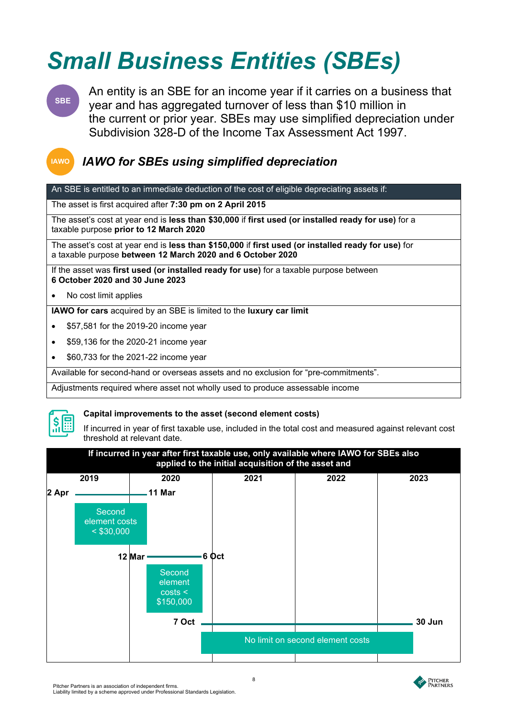## *Small Business Entities (SBEs)*

**SBE**

An entity is an SBE for an income year if it carries on a business that year and has aggregated turnover of less than \$10 million in the current or prior year. SBEs may use simplified depreciation under Subdivision 328-D of the Income Tax Assessment Act 1997.

## **IAWO**

## *IAWO for SBEs using simplified depreciation*

An SBE is entitled to an immediate deduction of the cost of eligible depreciating assets if:

The asset is first acquired after **7:30 pm on 2 April 2015**

The asset's cost at year end is **less than \$30,000** if **first used (or installed ready for use)** for a taxable purpose **prior to 12 March 2020**

The asset's cost at year end is **less than \$150,000** if **first used (or installed ready for use)** for a taxable purpose **between 12 March 2020 and 6 October 2020**

If the asset was **first used (or installed ready for use)** for a taxable purpose between **6 October 2020 and 30 June 2023**

• No cost limit applies

**IAWO for cars** acquired by an SBE is limited to the **luxury car limit**

- \$57,581 for the 2019-20 income year
- \$59,136 for the 2020-21 income year
- \$60,733 for the 2021-22 income year

Available for second-hand or overseas assets and no exclusion for "pre-commitments".

Adjustments required where asset not wholly used to produce assessable income



#### **Capital improvements to the asset (second element costs)**

If incurred in year of first taxable use, included in the total cost and measured against relevant cost threshold at relevant date.



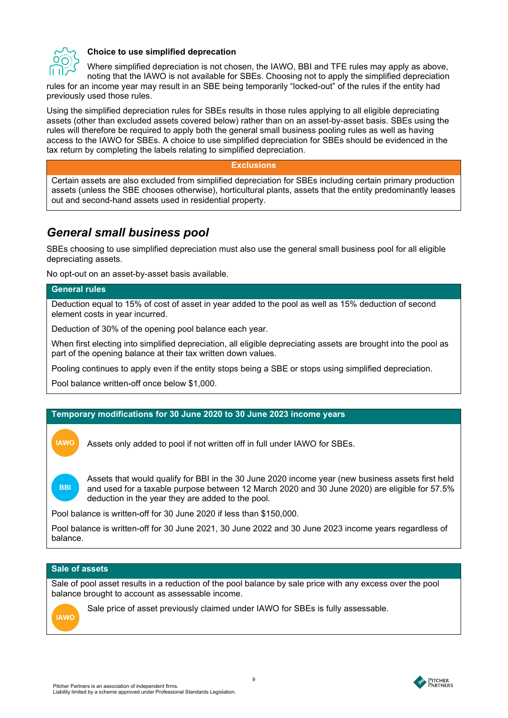

#### **Choice to use simplified deprecation**

Where simplified depreciation is not chosen, the IAWO, BBI and TFE rules may apply as above, noting that the IAWO is not available for SBEs. Choosing not to apply the simplified depreciation rules for an income year may result in an SBE being temporarily "locked-out" of the rules if the entity had previously used those rules.

Using the simplified depreciation rules for SBEs results in those rules applying to all eligible depreciating assets (other than excluded assets covered below) rather than on an asset-by-asset basis. SBEs using the rules will therefore be required to apply both the general small business pooling rules as well as having access to the IAWO for SBEs. A choice to use simplified depreciation for SBEs should be evidenced in the tax return by completing the labels relating to simplified depreciation.

#### **Exclusions**

Certain assets are also excluded from simplified depreciation for SBEs including certain primary production assets (unless the SBE chooses otherwise), horticultural plants, assets that the entity predominantly leases out and second-hand assets used in residential property.

## *General small business pool*

SBEs choosing to use simplified depreciation must also use the general small business pool for all eligible depreciating assets.

No opt-out on an asset-by-asset basis available.

#### **General rules**

Deduction equal to 15% of cost of asset in year added to the pool as well as 15% deduction of second element costs in year incurred.

Deduction of 30% of the opening pool balance each year.

When first electing into simplified depreciation, all eligible depreciating assets are brought into the pool as part of the opening balance at their tax written down values.

Pooling continues to apply even if the entity stops being a SBE or stops using simplified depreciation.

Pool balance written-off once below \$1,000.

#### **Temporary modifications for 30 June 2020 to 30 June 2023 income years**

Assets only added to pool if not written off in full under IAWO for SBEs.

Assets that would qualify for BBI in the 30 June 2020 income year (new business assets first held and used for a taxable purpose between 12 March 2020 and 30 June 2020) are eligible for 57.5% deduction in the year they are added to the pool.

Pool balance is written-off for 30 June 2020 if less than \$150,000.

Pool balance is written-off for 30 June 2021, 30 June 2022 and 30 June 2023 income years regardless of balance.

#### **Sale of assets**

Sale of pool asset results in a reduction of the pool balance by sale price with any excess over the pool balance brought to account as assessable income.



**IAWO**

**BBI**

Sale price of asset previously claimed under IAWO for SBEs is fully assessable.